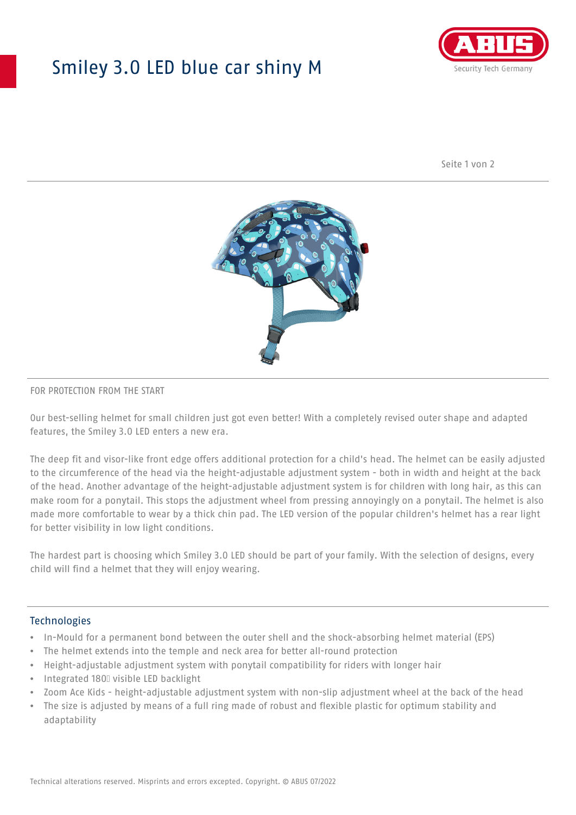## Smiley 3.0 LED blue car shiny M



Seite 1 von 2



#### FOR PROTECTION FROM THE START

Our best-selling helmet for small children just got even better! With a completely revised outer shape and adapted features, the Smiley 3.0 LED enters a new era.

The deep fit and visor-like front edge offers additional protection for a child's head. The helmet can be easily adjusted to the circumference of the head via the height-adjustable adjustment system - both in width and height at the back of the head. Another advantage of the height-adjustable adjustment system is for children with long hair, as this can make room for a ponytail. This stops the adjustment wheel from pressing annoyingly on a ponytail. The helmet is also made more comfortable to wear by a thick chin pad. The LED version of the popular children's helmet has a rear light for better visibility in low light conditions.

The hardest part is choosing which Smiley 3.0 LED should be part of your family. With the selection of designs, every child will find a helmet that they will enjoy wearing.

#### **Technologies**

- In-Mould for a permanent bond between the outer shell and the shock-absorbing helmet material (EPS)
- The helmet extends into the temple and neck area for better all-round protection
- Height-adjustable adjustment system with ponytail compatibility for riders with longer hair
- Integrated 180⁰ visible LED backlight
- Zoom Ace Kids height-adjustable adjustment system with non-slip adjustment wheel at the back of the head
- The size is adjusted by means of a full ring made of robust and flexible plastic for optimum stability and adaptability